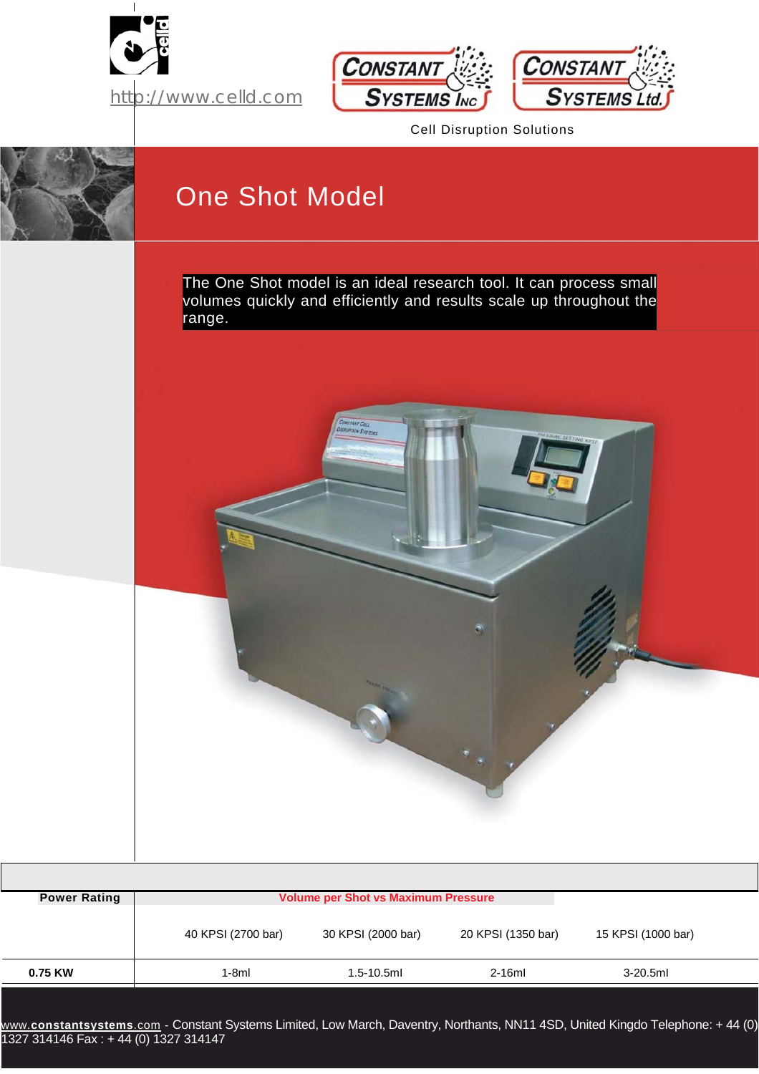





Cell Disruption Solutions



## One Shot Model

The One Shot model is an ideal research tool. It can process small volumes quickly and efficiently and results scale up throughout the range.



|                     | <b>Volume per Shot vs Maximum Pressure</b> |                    |                    |                    |  |  |
|---------------------|--------------------------------------------|--------------------|--------------------|--------------------|--|--|
| <b>Power Rating</b> |                                            |                    |                    |                    |  |  |
|                     | 40 KPSI (2700 bar)                         | 30 KPSI (2000 bar) | 20 KPSI (1350 bar) | 15 KPSI (1000 bar) |  |  |
| 0.75 KW             | 1-8ml                                      | $1.5 - 10.5$ ml    | $2-16ml$           | $3-20.5$ ml        |  |  |

www.**[constantsystems](http://www.constantsystems.com/)**.com - Constant Systems Limited, Low March, Daventry, Northants, NN11 4SD, United Kingdo Telephone: + 44 (0) 1327 314146 Fax : + 44 (0) 1327 314147